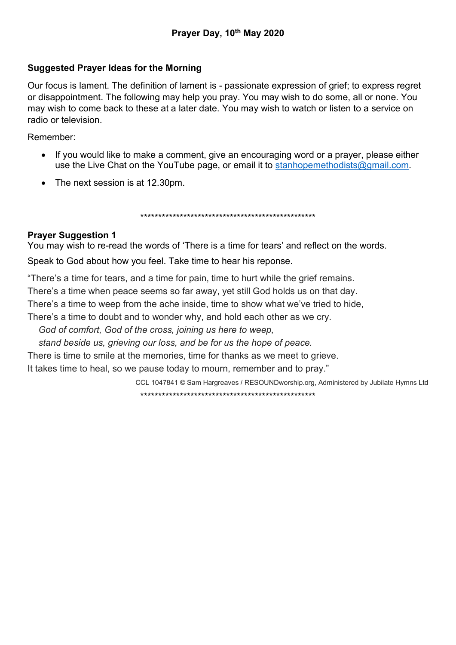# Suggested Prayer Ideas for the Morning

Our focus is lament. The definition of lament is - passionate expression of grief; to express regret or disappointment. The following may help you pray. You may wish to do some, all or none. You may wish to come back to these at a later date. You may wish to watch or listen to a service on radio or television.

Remember:

- If you would like to make a comment, give an encouraging word or a prayer, please either use the Live Chat on the YouTube page, or email it to stanhopemethodists@gmail.com.
- The next session is at 12.30pm.

\*\*\*\*\*\*\*\*\*\*\*\*\*\*\*\*\*\*\*\*\*\*\*\*\*\*\*\*\*\*\*\*\*\*\*\*\*\*\*\*\*\*\*\*\*\*\*\*\*

# Prayer Suggestion 1

You may wish to re-read the words of 'There is a time for tears' and reflect on the words.

Speak to God about how you feel. Take time to hear his reponse.

"There's a time for tears, and a time for pain, time to hurt while the grief remains.

There's a time when peace seems so far away, yet still God holds us on that day.

There's a time to weep from the ache inside, time to show what we've tried to hide,

There's a time to doubt and to wonder why, and hold each other as we cry.

God of comfort, God of the cross, joining us here to weep,

stand beside us, grieving our loss, and be for us the hope of peace.

There is time to smile at the memories, time for thanks as we meet to grieve.

It takes time to heal, so we pause today to mourn, remember and to pray."

CCL 1047841 © Sam Hargreaves / RESOUNDworship.org, Administered by Jubilate Hymns Ltd

\*\*\*\*\*\*\*\*\*\*\*\*\*\*\*\*\*\*\*\*\*\*\*\*\*\*\*\*\*\*\*\*\*\*\*\*\*\*\*\*\*\*\*\*\*\*\*\*\*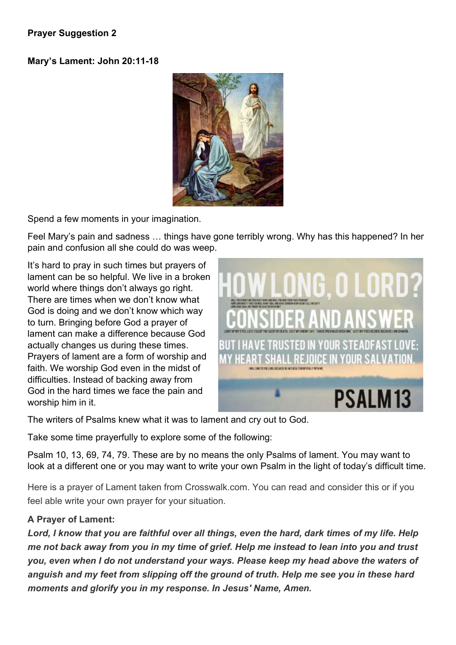#### Prayer Suggestion 2

#### Mary's Lament: John 20:11-18



Spend a few moments in your imagination.

Feel Mary's pain and sadness … things have gone terribly wrong. Why has this happened? In her pain and confusion all she could do was weep.

It's hard to pray in such times but prayers of lament can be so helpful. We live in a broken world where things don't always go right. There are times when we don't know what God is doing and we don't know which way to turn. Bringing before God a prayer of lament can make a difference because God actually changes us during these times. Prayers of lament are a form of worship and faith. We worship God even in the midst of difficulties. Instead of backing away from God in the hard times we face the pain and worship him in it.



The writers of Psalms knew what it was to lament and cry out to God.

Take some time prayerfully to explore some of the following:

Psalm 10, 13, 69, 74, 79. These are by no means the only Psalms of lament. You may want to look at a different one or you may want to write your own Psalm in the light of today's difficult time.

Here is a prayer of Lament taken from Crosswalk.com. You can read and consider this or if you feel able write your own prayer for your situation.

# A Prayer of Lament:

Lord, I know that you are faithful over all things, even the hard, dark times of my life. Help me not back away from you in my time of grief. Help me instead to lean into you and trust you, even when I do not understand your ways. Please keep my head above the waters of anguish and my feet from slipping off the ground of truth. Help me see you in these hard moments and glorify you in my response. In Jesus' Name, Amen.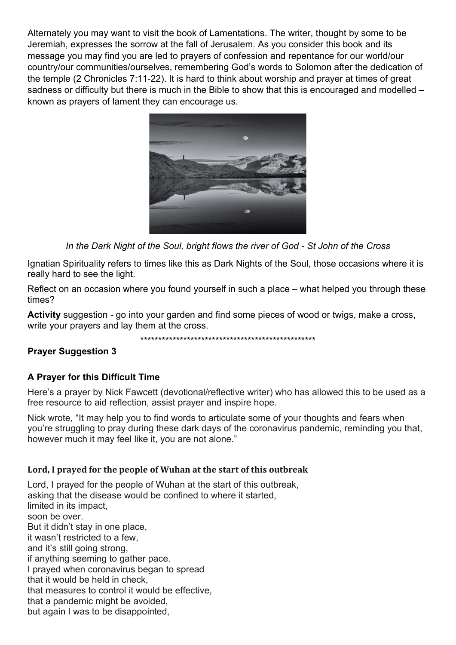Alternately you may want to visit the book of Lamentations. The writer, thought by some to be Jeremiah, expresses the sorrow at the fall of Jerusalem. As you consider this book and its message you may find you are led to prayers of confession and repentance for our world/our country/our communities/ourselves, remembering God's words to Solomon after the dedication of the temple (2 Chronicles 7:11-22). It is hard to think about worship and prayer at times of great sadness or difficulty but there is much in the Bible to show that this is encouraged and modelled – known as prayers of lament they can encourage us.



In the Dark Night of the Soul, bright flows the river of God - St John of the Cross

Ignatian Spirituality refers to times like this as Dark Nights of the Soul, those occasions where it is really hard to see the light.

Reflect on an occasion where you found yourself in such a place – what helped you through these times?

Activity suggestion - go into your garden and find some pieces of wood or twigs, make a cross, write your prayers and lay them at the cross.

\*\*\*\*\*\*\*\*\*\*\*\*\*\*\*\*\*\*\*\*\*\*\*\*\*\*\*\*\*\*\*\*\*\*\*\*\*\*\*\*\*\*\*\*\*\*\*\*\*

# Prayer Suggestion 3

# A Prayer for this Difficult Time

Here's a prayer by Nick Fawcett (devotional/reflective writer) who has allowed this to be used as a free resource to aid reflection, assist prayer and inspire hope.

Nick wrote, "It may help you to find words to articulate some of your thoughts and fears when you're struggling to pray during these dark days of the coronavirus pandemic, reminding you that, however much it may feel like it, you are not alone."

#### Lord, I prayed for the people of Wuhan at the start of this outbreak

Lord, I prayed for the people of Wuhan at the start of this outbreak, asking that the disease would be confined to where it started, limited in its impact, soon be over. But it didn't stay in one place, it wasn't restricted to a few, and it's still going strong, if anything seeming to gather pace. I prayed when coronavirus began to spread that it would be held in check, that measures to control it would be effective, that a pandemic might be avoided, but again I was to be disappointed,